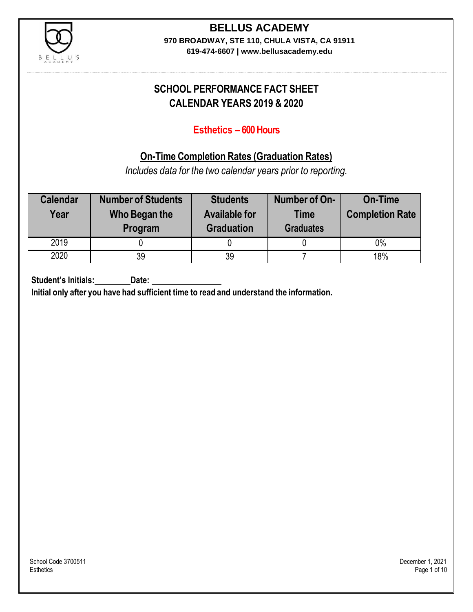

# **BELLUS ACADEMY**

**970 BROADWAY, STE 110, CHULA VISTA, CA 91911**

**619-474-6607 | www.bellusacademy.edu**

# **SCHOOL PERFORMANCE FACT SHEET CALENDAR YEARS 2019 & 2020**

### **Esthetics – 600 Hours**

## **On-Time Completion Rates (Graduation Rates)**

*Includes data for the two calendar years prior to reporting.*

| <b>Calendar</b><br>Year | <b>Number of Students</b><br>Who Began the<br>Program | <b>Students</b><br><b>Available for</b><br><b>Graduation</b> | Number of On-<br><b>Time</b><br><b>Graduates</b> | <b>On-Time</b><br><b>Completion Rate</b> |
|-------------------------|-------------------------------------------------------|--------------------------------------------------------------|--------------------------------------------------|------------------------------------------|
| 2019                    |                                                       |                                                              |                                                  | $0\%$                                    |
| 2020                    | 39                                                    | 39                                                           |                                                  | 18%                                      |

**Student's Initials: Date:**

**Initial only after you have had sufficient time to read and understand the information.**

School Code 3700511 December 1, 2021<br>Esthetics **Example 2002** December 1, 2021 Esthetics Page 1 of 10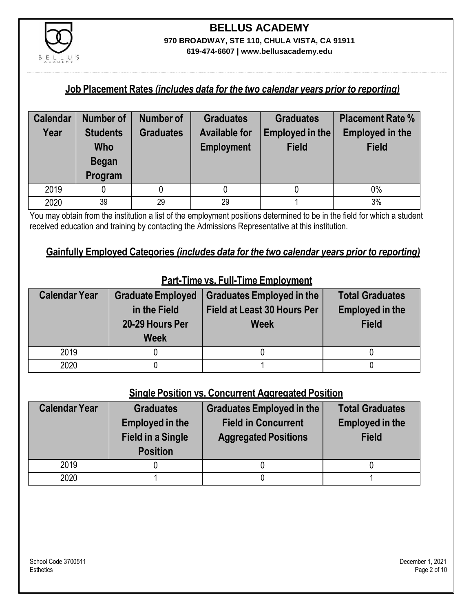

#### **Job Placement Rates** *(includes data for the two calendar years prior to reporting)*

| <b>Calendar</b> | <b>Number of</b>                                  | Number of        | <b>Graduates</b>                          | <b>Graduates</b>                | <b>Placement Rate %</b>                |
|-----------------|---------------------------------------------------|------------------|-------------------------------------------|---------------------------------|----------------------------------------|
| Year            | <b>Students</b><br>Who<br><b>Began</b><br>Program | <b>Graduates</b> | <b>Available for</b><br><b>Employment</b> | Employed in the<br><b>Field</b> | <b>Employed in the</b><br><b>Field</b> |
|                 |                                                   |                  |                                           |                                 |                                        |
| 2019            |                                                   |                  |                                           |                                 | $0\%$                                  |
| 2020            | 39                                                | 29               | 29                                        |                                 | 3%                                     |

You may obtain from the institution a list of the employment positions determined to be in the field for which a student received education and training by contacting the Admissions Representative at this institution.

#### **Gainfully Employed Categories** *(includes data for the two calendar years prior to reporting)*

| <b>Calendar Year</b> | <b>Graduate Employed</b><br>in the Field<br>20-29 Hours Per<br><b>Week</b> | <b>Graduates Employed in the</b><br><b>Field at Least 30 Hours Per</b><br><b>Week</b> | <b>Total Graduates</b><br><b>Employed in the</b><br><b>Field</b> |
|----------------------|----------------------------------------------------------------------------|---------------------------------------------------------------------------------------|------------------------------------------------------------------|
| 2019                 |                                                                            |                                                                                       |                                                                  |
| 2020                 |                                                                            |                                                                                       |                                                                  |

## **Part-Time vs. Full-Time Employment**

### **Single Position vs. Concurrent Aggregated Position**

| <b>Calendar Year</b> | <b>Graduates</b><br><b>Employed in the</b><br><b>Field in a Single</b><br><b>Position</b> | Graduates Employed in the<br><b>Field in Concurrent</b><br><b>Aggregated Positions</b> | <b>Total Graduates</b><br><b>Employed in the</b><br><b>Field</b> |
|----------------------|-------------------------------------------------------------------------------------------|----------------------------------------------------------------------------------------|------------------------------------------------------------------|
| 2019                 |                                                                                           |                                                                                        |                                                                  |
| 2020                 |                                                                                           |                                                                                        |                                                                  |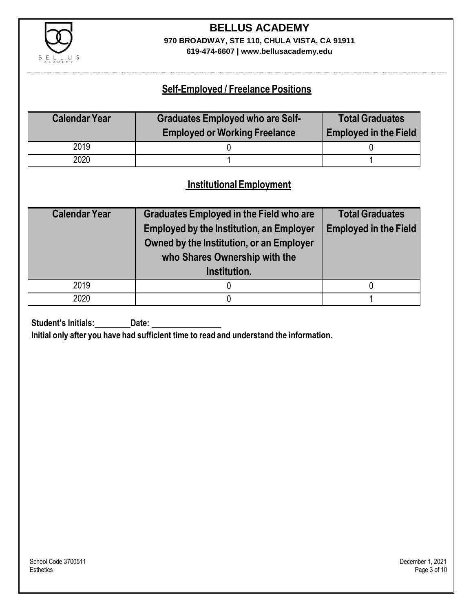

# **BELLUS ACADEMY 970 BROADWAY, STE 110, CHULA VISTA, CA 91911**

**619-474-6607 | www.bellusacademy.edu**

### **Self-Employed / Freelance Positions**

| <b>Calendar Year</b> | <b>Graduates Employed who are Self-</b> | <b>Total Graduates</b>       |
|----------------------|-----------------------------------------|------------------------------|
|                      | <b>Employed or Working Freelance</b>    | <b>Employed in the Field</b> |
| 2019                 |                                         |                              |
| 2020                 |                                         |                              |

### **InstitutionalEmployment**

| <b>Calendar Year</b> | <b>Graduates Employed in the Field who are</b><br><b>Employed by the Institution, an Employer</b><br>Owned by the Institution, or an Employer<br>who Shares Ownership with the<br>Institution. | <b>Total Graduates</b><br><b>Employed in the Field</b> |
|----------------------|------------------------------------------------------------------------------------------------------------------------------------------------------------------------------------------------|--------------------------------------------------------|
| 2019                 |                                                                                                                                                                                                |                                                        |
| 2020                 |                                                                                                                                                                                                |                                                        |

**Student's Initials:** Date:

**Initial only after you have had sufficient time to read and understand the information.**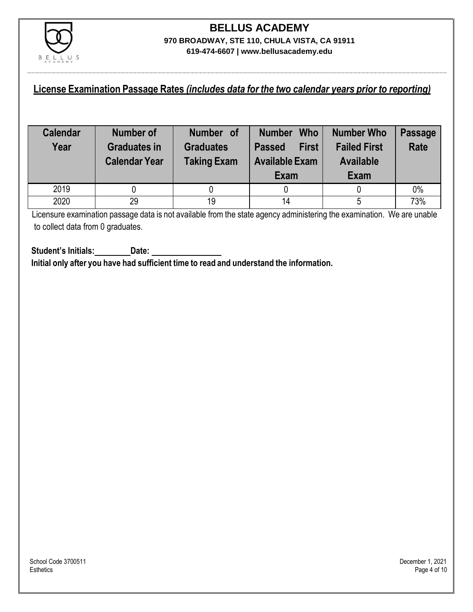

### **License Examination Passage Rates** *(includes data for the two calendar years prior to reporting)*

| <b>Calendar</b><br>Year | Number of<br><b>Graduates in</b><br><b>Calendar Year</b> | Number of<br><b>Graduates</b><br><b>Taking Exam</b> | <b>Who</b><br><b>Number</b><br><b>First</b><br><b>Passed</b><br><b>Available Exam</b><br>Exam | Number Who<br><b>Failed First</b><br><b>Available</b><br>Exam | <b>Passage</b><br><b>Rate</b> |
|-------------------------|----------------------------------------------------------|-----------------------------------------------------|-----------------------------------------------------------------------------------------------|---------------------------------------------------------------|-------------------------------|
| 2019                    |                                                          |                                                     |                                                                                               |                                                               | 0%                            |
| 2020                    | 29                                                       | 19                                                  | 14                                                                                            | 5                                                             | 73%                           |

Licensure examination passage data is not available from the state agency administering the examination. We are unable to collect data from 0 graduates.

**Student's Initials: Date: Initial only after you have had sufficient time to read and understand the information.**

School Code 3700511 December 1, 2021<br>Esthetics **Example 2002** December 1, 2021 Esthetics Page 4 of 10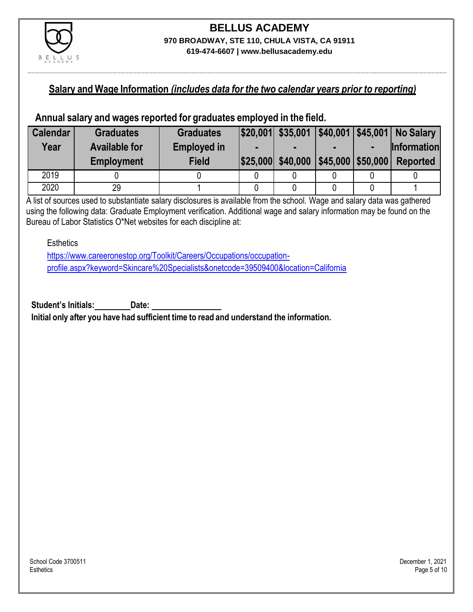

### **Salary and Wage Information** *(includes data for the two calendar years prior to reporting)*

#### **Annual salary and wages reported for graduates employed in the field.**

| <b>Calendar</b> | <b>Graduates</b>     | <b>Graduates</b>   |                   |                                                  | $ $20,001 $ \$35,001 $ $40,001 $ \$45,001 No Salary |
|-----------------|----------------------|--------------------|-------------------|--------------------------------------------------|-----------------------------------------------------|
| Year            | <b>Available for</b> | <b>Employed in</b> |                   |                                                  | <b>Information</b>                                  |
|                 | <b>Employment</b>    | <b>Field</b>       | \$25,000 \$40,000 | $\left  \frac{1}{2}$ \$45,000 $\right $ \$50,000 | <b>Reported</b>                                     |
| 2019            |                      |                    |                   |                                                  |                                                     |
| 2020            | 29                   |                    |                   |                                                  |                                                     |

A list of sources used to substantiate salary disclosures is available from the school. Wage and salary data was gathered using the following data: Graduate Employment verification. Additional wage and salary information may be found on the Bureau of Labor Statistics O\*Net websites for each discipline at:

**Esthetics** 

[https://www.careeronestop.org/Toolkit/Careers/Occupations/occupation](https://www.careeronestop.org/Toolkit/Careers/Occupations/occupation-profile.aspx?keyword=Skincare%20Specialists&onetcode=39509400&location=California)[profile.aspx?keyword=Skincare%20Specialists&onetcode=39509400&location=California](https://www.careeronestop.org/Toolkit/Careers/Occupations/occupation-profile.aspx?keyword=Skincare%20Specialists&onetcode=39509400&location=California)

**Student's Initials: Date:**

**Initial only after you have had sufficient time to read and understand the information.**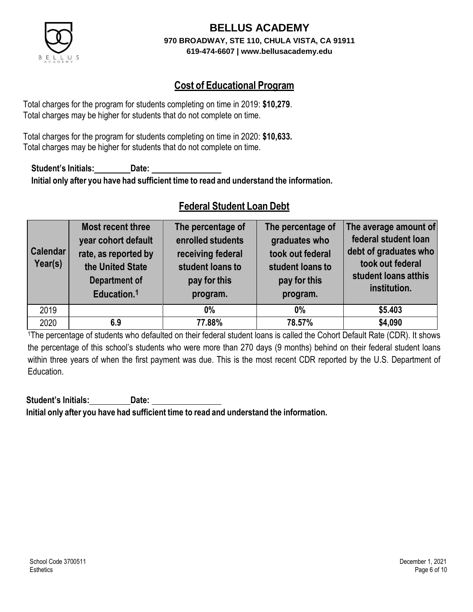

## **Cost of Educational Program**

Total charges for the program for students completing on time in 2019: **\$10,279**. Total charges may be higher for students that do not complete on time.

Total charges for the program for students completing on time in 2020: **\$10,633.** Total charges may be higher for students that do not complete on time.

**Student's Initials: Date: Initial only after you have had sufficient time to read and understand the information.**

### **Federal Student Loan Debt**

| <b>Calendar</b><br>Year(s) | Most recent three<br>year cohort default<br>rate, as reported by<br>the United State<br><b>Department of</b><br>Education. <sup>1</sup> | The percentage of<br>enrolled students<br>receiving federal<br>student loans to<br>pay for this<br>program. | The percentage of<br>graduates who<br>took out federal<br>student loans to<br>pay for this<br>program. | The average amount of<br>federal student loan<br>debt of graduates who<br>took out federal<br>student loans atthis<br>institution. |
|----------------------------|-----------------------------------------------------------------------------------------------------------------------------------------|-------------------------------------------------------------------------------------------------------------|--------------------------------------------------------------------------------------------------------|------------------------------------------------------------------------------------------------------------------------------------|
| 2019                       |                                                                                                                                         | $0\%$                                                                                                       | $0\%$                                                                                                  | \$5.403                                                                                                                            |
| 2020                       | 6.9                                                                                                                                     | 77.88%                                                                                                      | 78.57%                                                                                                 | \$4,090                                                                                                                            |

<sup>1</sup>The percentage of students who defaulted on their federal student loans is called the Cohort Default Rate (CDR). It shows the percentage of this school's students who were more than 270 days (9 months) behind on their federal student loans within three years of when the first payment was due. This is the most recent CDR reported by the U.S. Department of Education.

**Student's Initials: Date: Initial only after you have had sufficient time to read and understand the information.**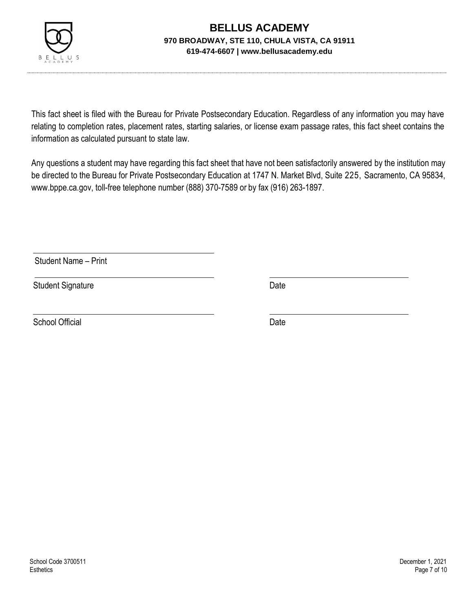

This fact sheet is filed with the Bureau for Private Postsecondary Education. Regardless of any information you may have relating to completion rates, placement rates, starting salaries, or license exam passage rates, this fact sheet contains the information as calculated pursuant to state law.

Any questions a student may have regarding this fact sheet that have not been satisfactorily answered by the institution may be directed to the Bureau for Private Postsecondary Education at 1747 N. Market Blvd, Suite 225, Sacramento, CA 95834, [www.bppe.ca.gov,](http://www.bppe.ca.gov/) toll-free telephone number (888) 370-7589 or by fax (916) 263-1897.

Student Name – Print

Student Signature Date

School Official Date Date Date Date Date Date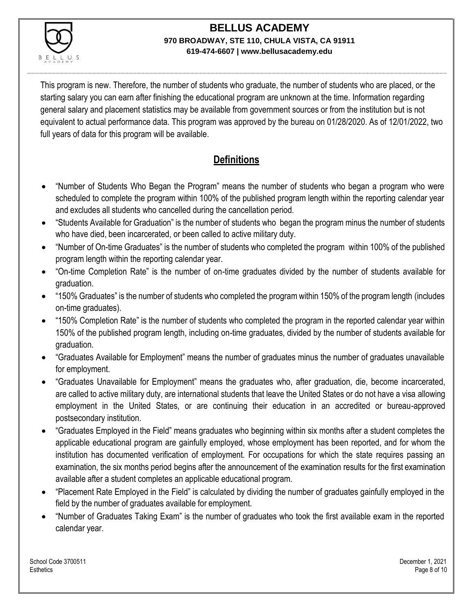

This program is new. Therefore, the number of students who graduate, the number of students who are placed, or the starting salary you can earn after finishing the educational program are unknown at the time. Information regarding general salary and placement statistics may be available from government sources or from the institution but is not equivalent to actual performance data. This program was approved by the bureau on 01/28/2020. As of 12/01/2022, two full years of data for this program will be available.

## **Definitions**

- "Number of Students Who Began the Program" means the number of students who began a program who were scheduled to complete the program within 100% of the published program length within the reporting calendar year and excludes all students who cancelled during the cancellation period.
- "Students Available for Graduation" is the number of students who began the program minus the number of students who have died, been incarcerated, or been called to active military duty.
- "Number of On-time Graduates" is the number of students who completed the program within 100% of the published program length within the reporting calendar year.
- "On-time Completion Rate" is the number of on-time graduates divided by the number of students available for graduation.
- "150% Graduates" is the number of students who completed the program within 150% of the program length (includes on-time graduates).
- "150% Completion Rate" is the number of students who completed the program in the reported calendar year within 150% of the published program length, including on-time graduates, divided by the number of students available for graduation.
- "Graduates Available for Employment" means the number of graduates minus the number of graduates unavailable for employment.
- "Graduates Unavailable for Employment" means the graduates who, after graduation, die, become incarcerated, are called to active military duty, are international students that leave the United States or do not have a visa allowing employment in the United States, or are continuing their education in an accredited or bureau-approved postsecondary institution.
- "Graduates Employed in the Field" means graduates who beginning within six months after a student completes the applicable educational program are gainfully employed, whose employment has been reported, and for whom the institution has documented verification of employment. For occupations for which the state requires passing an examination, the six months period begins after the announcement of the examination results for the first examination available after a student completes an applicable educational program.
- "Placement Rate Employed in the Field" is calculated by dividing the number of graduates gainfully employed in the field by the number of graduates available for employment.
- "Number of Graduates Taking Exam" is the number of graduates who took the first available exam in the reported calendar year.

School Code 3700511 December 1, 2021 Esthetics Page 8 of 10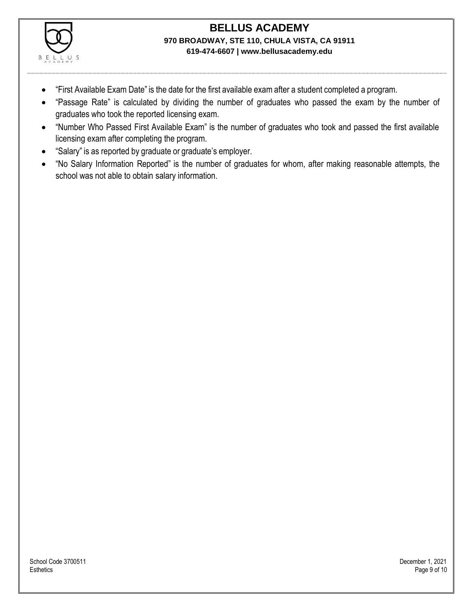

- "First Available Exam Date" is the date for the first available exam after a student completed a program.
- "Passage Rate" is calculated by dividing the number of graduates who passed the exam by the number of graduates who took the reported licensing exam.
- "Number Who Passed First Available Exam" is the number of graduates who took and passed the first available licensing exam after completing the program.
- "Salary" is as reported by graduate or graduate's employer.
- "No Salary Information Reported" is the number of graduates for whom, after making reasonable attempts, the school was not able to obtain salary information.